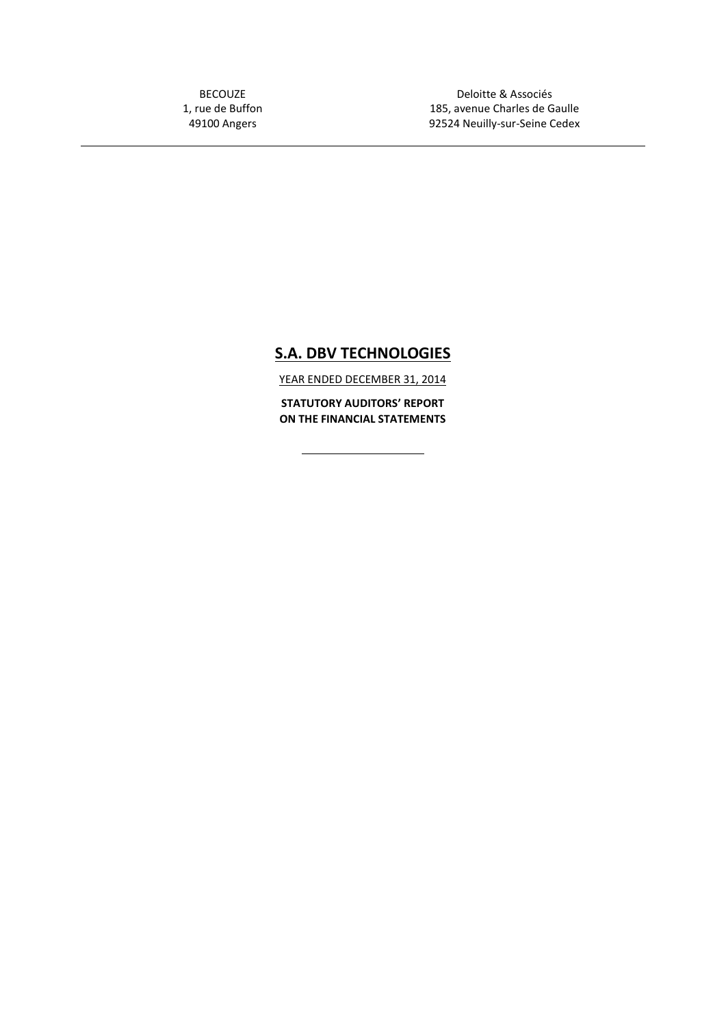BECOUZE 1, rue de Buffon 49100 Angers

Deloitte & Associés 185, avenue Charles de Gaulle 92524 Neuilly-sur-Seine Cedex

# **S.A. DBV TECHNOLOGIES**

YEAR ENDED DECEMBER 31, 2014

**STATUTORY AUDITORS' REPORT ON THE FINANCIAL STATEMENTS**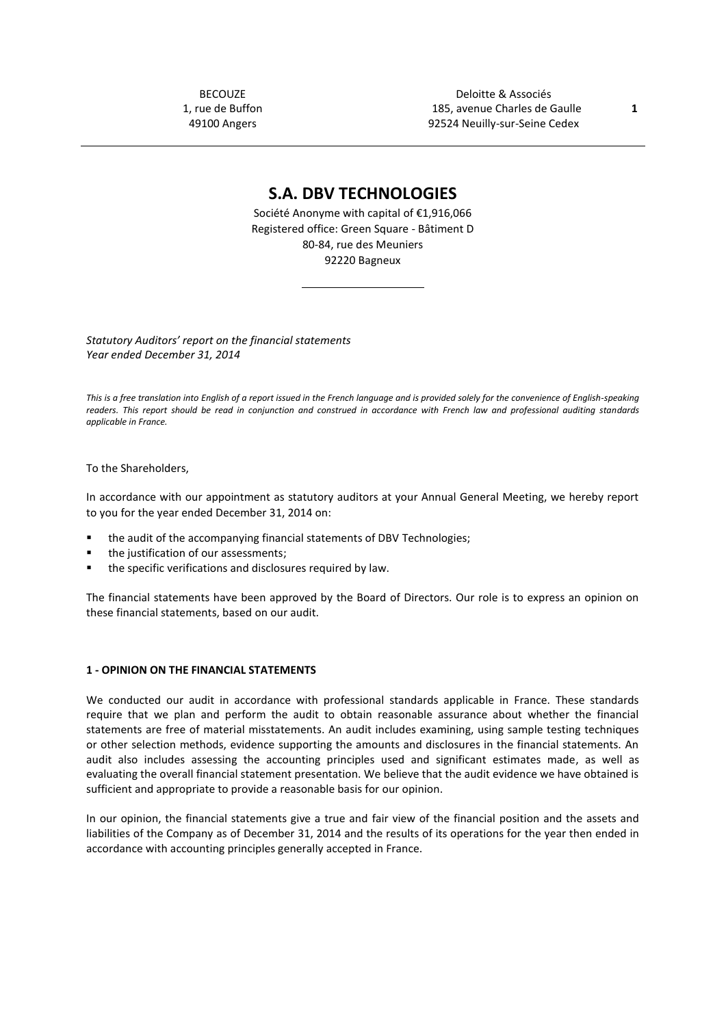BECOUZE 1, rue de Buffon 49100 Angers

Deloitte & Associés 185, avenue Charles de Gaulle **1** 92524 Neuilly-sur-Seine Cedex

## **S.A. DBV TECHNOLOGIES**

Société Anonyme with capital of €1,916,066 Registered office: Green Square - Bâtiment D 80-84, rue des Meuniers 92220 Bagneux

*Statutory Auditors' report on the financial statements Year ended December 31, 2014*

*This is a free translation into English of a report issued in the French language and is provided solely for the convenience of English-speaking readers. This report should be read in conjunction and construed in accordance with French law and professional auditing standards applicable in France.*

To the Shareholders,

In accordance with our appointment as statutory auditors at your Annual General Meeting, we hereby report to you for the year ended December 31, 2014 on:

- the audit of the accompanying financial statements of DBV Technologies;
- the justification of our assessments;
- the specific verifications and disclosures required by law.

The financial statements have been approved by the Board of Directors. Our role is to express an opinion on these financial statements, based on our audit.

#### **1 - OPINION ON THE FINANCIAL STATEMENTS**

We conducted our audit in accordance with professional standards applicable in France. These standards require that we plan and perform the audit to obtain reasonable assurance about whether the financial statements are free of material misstatements. An audit includes examining, using sample testing techniques or other selection methods, evidence supporting the amounts and disclosures in the financial statements. An audit also includes assessing the accounting principles used and significant estimates made, as well as evaluating the overall financial statement presentation. We believe that the audit evidence we have obtained is sufficient and appropriate to provide a reasonable basis for our opinion.

In our opinion, the financial statements give a true and fair view of the financial position and the assets and liabilities of the Company as of December 31, 2014 and the results of its operations for the year then ended in accordance with accounting principles generally accepted in France.